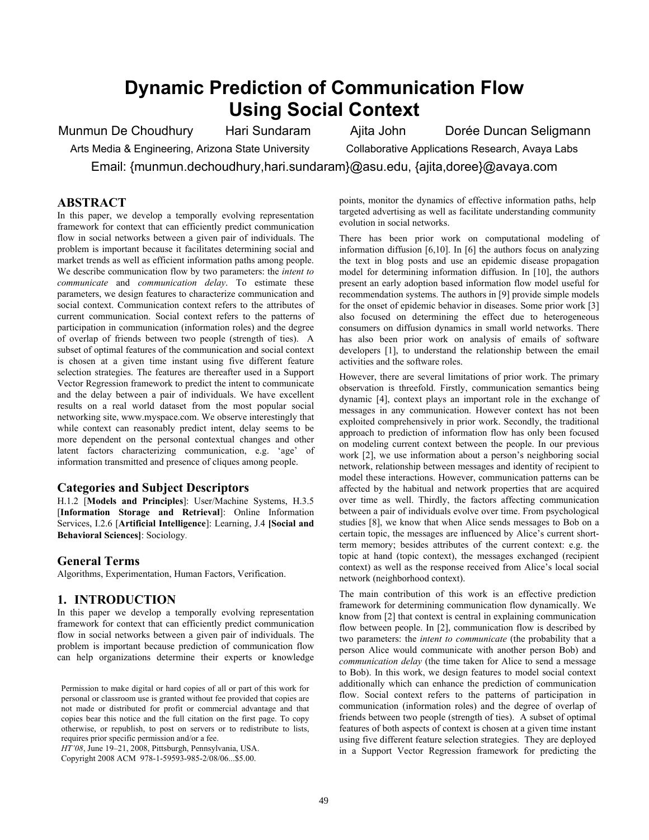# **Dynamic Prediction of Communication Flow Using Social Context**

Munmun De Choudhury Hari Sundaram Ajita John Dorée Duncan Seligmann Arts Media & Engineering, Arizona State University Collaborative Applications Research, Avaya Labs

Email: {munmun.dechoudhury,hari.sundaram}@asu.edu, {ajita,doree}@avaya.com

## **ABSTRACT**

In this paper, we develop a temporally evolving representation framework for context that can efficiently predict communication flow in social networks between a given pair of individuals. The problem is important because it facilitates determining social and market trends as well as efficient information paths among people. We describe communication flow by two parameters: the *intent to communicate* and *communication delay*. To estimate these parameters, we design features to characterize communication and social context. Communication context refers to the attributes of current communication. Social context refers to the patterns of participation in communication (information roles) and the degree of overlap of friends between two people (strength of ties). A subset of optimal features of the communication and social context is chosen at a given time instant using five different feature selection strategies. The features are thereafter used in a Support Vector Regression framework to predict the intent to communicate and the delay between a pair of individuals. We have excellent results on a real world dataset from the most popular social networking site, www.myspace.com. We observe interestingly that while context can reasonably predict intent, delay seems to be more dependent on the personal contextual changes and other latent factors characterizing communication, e.g. 'age' of information transmitted and presence of cliques among people.

#### **Categories and Subject Descriptors**

H.1.2 [**Models and Principles**]: User/Machine Systems, H.3.5 [**Information Storage and Retrieval**]: Online Information Services, I.2.6 [**Artificial Intelligence**]: Learning, J.4 **[Social and Behavioral Sciences]**: Sociology*.*

#### **General Terms**

Algorithms, Experimentation, Human Factors, Verification.

## **1. INTRODUCTION**

In this paper we develop a temporally evolving representation framework for context that can efficiently predict communication flow in social networks between a given pair of individuals. The problem is important because prediction of communication flow can help organizations determine their experts or knowledge

Permission to make digital or hard copies of all or part of this work for personal or classroom use is granted without fee provided that copies are not made or distributed for profit or commercial advantage and that copies bear this notice and the full citation on the first page. To copy otherwise, or republish, to post on servers or to redistribute to lists, requires prior specific permission and/or a fee.

*HT'08*, June 19–21, 2008, Pittsburgh, Pennsylvania, USA.

Copyright 2008 ACM 978-1-59593-985-2/08/06...\$5.00.

points, monitor the dynamics of effective information paths, help targeted advertising as well as facilitate understanding community evolution in social networks.

There has been prior work on computational modeling of information diffusion [6,10]. In [6] the authors focus on analyzing the text in blog posts and use an epidemic disease propagation model for determining information diffusion. In [10], the authors present an early adoption based information flow model useful for recommendation systems. The authors in [9] provide simple models for the onset of epidemic behavior in diseases. Some prior work [3] also focused on determining the effect due to heterogeneous consumers on diffusion dynamics in small world networks. There has also been prior work on analysis of emails of software developers [1], to understand the relationship between the email activities and the software roles.

However, there are several limitations of prior work. The primary observation is threefold. Firstly, communication semantics being dynamic [4], context plays an important role in the exchange of messages in any communication. However context has not been exploited comprehensively in prior work. Secondly, the traditional approach to prediction of information flow has only been focused on modeling current context between the people. In our previous work [2], we use information about a person's neighboring social network, relationship between messages and identity of recipient to model these interactions. However, communication patterns can be affected by the habitual and network properties that are acquired over time as well. Thirdly, the factors affecting communication between a pair of individuals evolve over time. From psychological studies [8], we know that when Alice sends messages to Bob on a certain topic, the messages are influenced by Alice's current shortterm memory; besides attributes of the current context: e.g. the topic at hand (topic context), the messages exchanged (recipient context) as well as the response received from Alice's local social network (neighborhood context).

The main contribution of this work is an effective prediction framework for determining communication flow dynamically. We know from [2] that context is central in explaining communication flow between people. In [2], communication flow is described by two parameters: the *intent to communicate* (the probability that a person Alice would communicate with another person Bob) and *communication delay* (the time taken for Alice to send a message to Bob). In this work, we design features to model social context additionally which can enhance the prediction of communication flow. Social context refers to the patterns of participation in communication (information roles) and the degree of overlap of friends between two people (strength of ties). A subset of optimal features of both aspects of context is chosen at a given time instant using five different feature selection strategies. They are deployed in a Support Vector Regression framework for predicting the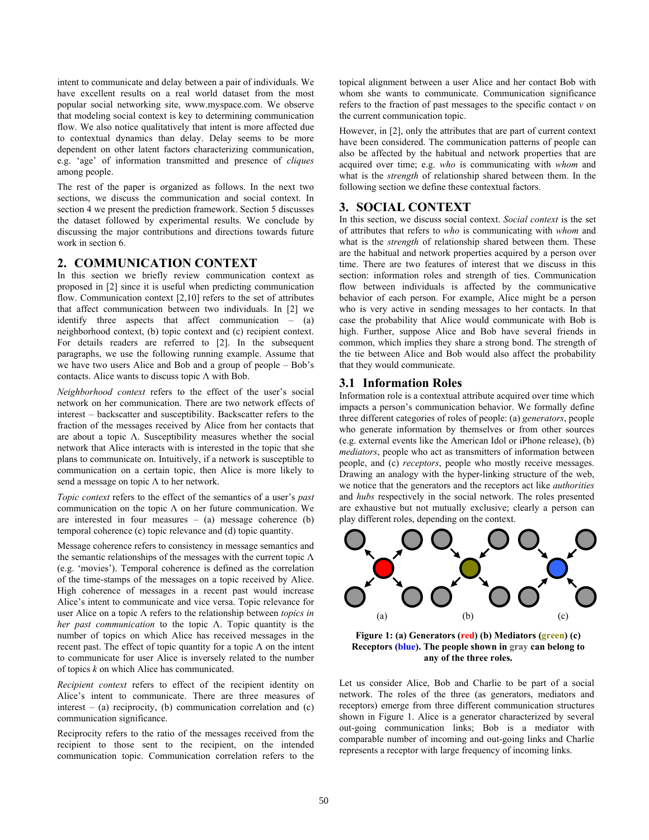intent to communicate and delay between a pair of individuals. We have excellent results on a real world dataset from the most popular social networking site, www.myspace.com. We observe that modeling social context is key to determining communication flow. We also notice qualitatively that intent is more affected due to contextual dynamics than delay. Delay seems to be more dependent on other latent factors characterizing communication, e.g. 'age' of information transmitted and presence of *cliques* among people.

The rest of the paper is organized as follows. In the next two sections, we discuss the communication and social context. In section 4 we present the prediction framework. Section 5 discusses the dataset followed by experimental results. We conclude by discussing the major contributions and directions towards future work in section 6.

## **2. COMMUNICATION CONTEXT**

In this section we briefly review communication context as proposed in [2] since it is useful when predicting communication flow. Communication context [2,10] refers to the set of attributes that affect communication between two individuals. In [2] we identify three aspects that affect communication – (a) neighborhood context, (b) topic context and (c) recipient context. For details readers are referred to [2]. In the subsequent paragraphs, we use the following running example. Assume that we have two users Alice and Bob and a group of people – Bob's contacts. Alice wants to discuss topic Λ with Bob.

*Neighborhood context* refers to the effect of the user's social network on her communication. There are two network effects of interest – backscatter and susceptibility. Backscatter refers to the fraction of the messages received by Alice from her contacts that are about a topic Λ. Susceptibility measures whether the social network that Alice interacts with is interested in the topic that she plans to communicate on. Intuitively, if a network is susceptible to communication on a certain topic, then Alice is more likely to send a message on topic Λ to her network.

*Topic context* refers to the effect of the semantics of a user's *past*  communication on the topic Λ on her future communication. We are interested in four measures  $-$  (a) message coherence (b) temporal coherence (c) topic relevance and (d) topic quantity.

Message coherence refers to consistency in message semantics and the semantic relationships of the messages with the current topic  $\Lambda$ (e.g. 'movies'). Temporal coherence is defined as the correlation of the time-stamps of the messages on a topic received by Alice. High coherence of messages in a recent past would increase Alice's intent to communicate and vice versa. Topic relevance for user Alice on a topic Λ refers to the relationship between *topics in her past communication* to the topic Λ. Topic quantity is the number of topics on which Alice has received messages in the recent past. The effect of topic quantity for a topic  $\Lambda$  on the intent to communicate for user Alice is inversely related to the number of topics *k* on which Alice has communicated.

*Recipient context* refers to effect of the recipient identity on Alice's intent to communicate. There are three measures of interest – (a) reciprocity, (b) communication correlation and  $(c)$ communication significance.

Reciprocity refers to the ratio of the messages received from the recipient to those sent to the recipient, on the intended communication topic. Communication correlation refers to the

topical alignment between a user Alice and her contact Bob with whom she wants to communicate. Communication significance refers to the fraction of past messages to the specific contact  $\nu$  on the current communication topic.

However, in [2], only the attributes that are part of current context have been considered. The communication patterns of people can also be affected by the habitual and network properties that are acquired over time; e.g. *who* is communicating with *whom* and what is the *strength* of relationship shared between them. In the following section we define these contextual factors.

## **3. SOCIAL CONTEXT**

In this section, we discuss social context. *Social context* is the set of attributes that refers to *who* is communicating with *whom* and what is the *strength* of relationship shared between them. These are the habitual and network properties acquired by a person over time. There are two features of interest that we discuss in this section: information roles and strength of ties. Communication flow between individuals is affected by the communicative behavior of each person. For example, Alice might be a person who is very active in sending messages to her contacts. In that case the probability that Alice would communicate with Bob is high. Further, suppose Alice and Bob have several friends in common, which implies they share a strong bond. The strength of the tie between Alice and Bob would also affect the probability that they would communicate.

## **3.1 Information Roles**

Information role is a contextual attribute acquired over time which impacts a person's communication behavior. We formally define three different categories of roles of people: (a) *generators*, people who generate information by themselves or from other sources (e.g. external events like the American Idol or iPhone release), (b) *mediators*, people who act as transmitters of information between people, and (c) *receptors*, people who mostly receive messages. Drawing an analogy with the hyper-linking structure of the web, we notice that the generators and the receptors act like *authorities* and *hubs* respectively in the social network. The roles presented are exhaustive but not mutually exclusive; clearly a person can play different roles, depending on the context.



**Figure 1: (a) Generators (red) (b) Mediators (green) (c) Receptors (blue). The people shown in gray can belong to any of the three roles.** 

Let us consider Alice, Bob and Charlie to be part of a social network. The roles of the three (as generators, mediators and receptors) emerge from three different communication structures shown in Figure 1. Alice is a generator characterized by several out-going communication links; Bob is a mediator with comparable number of incoming and out-going links and Charlie represents a receptor with large frequency of incoming links.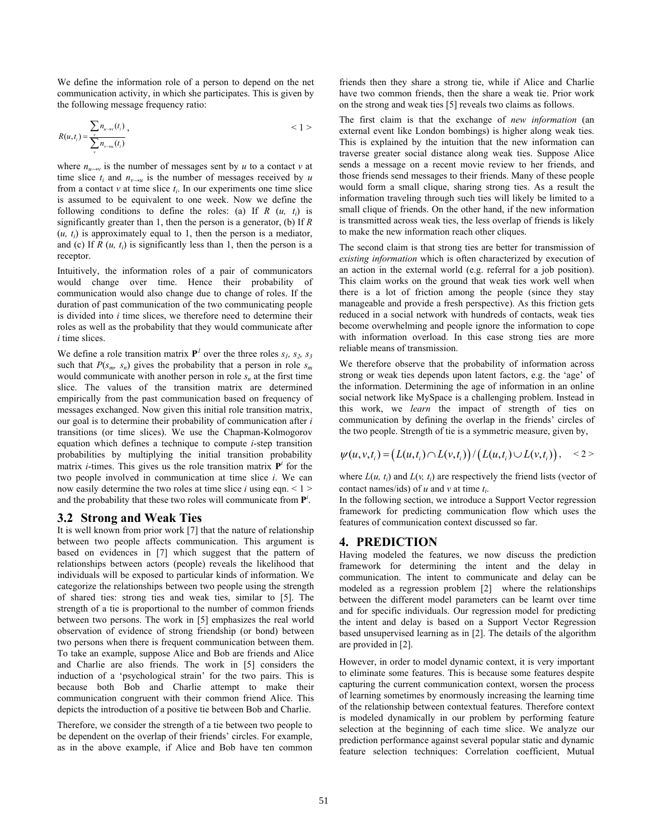We define the information role of a person to depend on the net communication activity, in which she participates. This is given by the following message frequency ratio:

$$
R(u,t_i) = \frac{\sum_{v} n_{u \to v}(t_i)}{\sum_{v} n_{v \to u}(t_i)},
$$
  $<1>$ 

where  $n_{u\rightarrow v}$  is the number of messages sent by *u* to a contact *v* at time slice  $t_i$  and  $n_{v\rightarrow u}$  is the number of messages received by *u* from a contact  $v$  at time slice  $t_i$ . In our experiments one time slice is assumed to be equivalent to one week. Now we define the following conditions to define the roles: (a) If  $R$   $(u, t_i)$  is significantly greater than 1, then the person is a generator, (b) If *R*  $(u, t_i)$  is approximately equal to 1, then the person is a mediator, and (c) If  $R(u, t_i)$  is significantly less than 1, then the person is a receptor.

Intuitively, the information roles of a pair of communicators would change over time. Hence their probability of communication would also change due to change of roles. If the duration of past communication of the two communicating people is divided into *i* time slices, we therefore need to determine their roles as well as the probability that they would communicate after *i* time slices.

We define a role transition matrix  $P^1$  over the three roles  $s_1$ ,  $s_2$ ,  $s_3$ such that  $P(s_m, s_n)$  gives the probability that a person in role  $s_m$ would communicate with another person in role  $s_n$  at the first time slice. The values of the transition matrix are determined empirically from the past communication based on frequency of messages exchanged. Now given this initial role transition matrix, our goal is to determine their probability of communication after *i* transitions (or time slices). We use the Chapman-Kolmogorov equation which defines a technique to compute *i*-step transition probabilities by multiplying the initial transition probability matrix *i*-times. This gives us the role transition matrix  $P^i$  for the two people involved in communication at time slice *i*. We can now easily determine the two roles at time slice  $i$  using eqn.  $\leq 1$  > and the probability that these two roles will communicate from **P***<sup>i</sup>* .

#### **3.2 Strong and Weak Ties**

It is well known from prior work [7] that the nature of relationship between two people affects communication. This argument is based on evidences in [7] which suggest that the pattern of relationships between actors (people) reveals the likelihood that individuals will be exposed to particular kinds of information. We categorize the relationships between two people using the strength of shared ties: strong ties and weak ties, similar to [5]. The strength of a tie is proportional to the number of common friends between two persons. The work in [5] emphasizes the real world observation of evidence of strong friendship (or bond) between two persons when there is frequent communication between them. To take an example, suppose Alice and Bob are friends and Alice and Charlie are also friends. The work in [5] considers the induction of a 'psychological strain' for the two pairs. This is because both Bob and Charlie attempt to make their communication congruent with their common friend Alice. This depicts the introduction of a positive tie between Bob and Charlie.

Therefore, we consider the strength of a tie between two people to be dependent on the overlap of their friends' circles. For example, as in the above example, if Alice and Bob have ten common

friends then they share a strong tie, while if Alice and Charlie have two common friends, then the share a weak tie. Prior work on the strong and weak ties [5] reveals two claims as follows.

The first claim is that the exchange of *new information* (an external event like London bombings) is higher along weak ties. This is explained by the intuition that the new information can traverse greater social distance along weak ties. Suppose Alice sends a message on a recent movie review to her friends, and those friends send messages to their friends. Many of these people would form a small clique, sharing strong ties. As a result the information traveling through such ties will likely be limited to a small clique of friends. On the other hand, if the new information is transmitted across weak ties, the less overlap of friends is likely to make the new information reach other cliques.

The second claim is that strong ties are better for transmission of *existing information* which is often characterized by execution of an action in the external world (e.g. referral for a job position). This claim works on the ground that weak ties work well when there is a lot of friction among the people (since they stay manageable and provide a fresh perspective). As this friction gets reduced in a social network with hundreds of contacts, weak ties become overwhelming and people ignore the information to cope with information overload. In this case strong ties are more reliable means of transmission.

We therefore observe that the probability of information across strong or weak ties depends upon latent factors, e.g. the 'age' of the information. Determining the age of information in an online social network like MySpace is a challenging problem. Instead in this work, we *learn* the impact of strength of ties on communication by defining the overlap in the friends' circles of the two people. Strength of tie is a symmetric measure, given by,

$$
\psi(u,v,t_i) = \bigl(L(u,t_i) \cap L(v,t_i)\bigr) / \bigl(L(u,t_i) \cup L(v,t_i)\bigr), \quad \text{if } t \geq 1.
$$

where  $L(u, t_i)$  and  $L(v, t_i)$  are respectively the friend lists (vector of contact names/ids) of *u* and *v* at time *ti*.

In the following section, we introduce a Support Vector regression framework for predicting communication flow which uses the features of communication context discussed so far.

#### **4. PREDICTION**

Having modeled the features, we now discuss the prediction framework for determining the intent and the delay in communication. The intent to communicate and delay can be modeled as a regression problem [2] where the relationships between the different model parameters can be learnt over time and for specific individuals. Our regression model for predicting the intent and delay is based on a Support Vector Regression based unsupervised learning as in [2]. The details of the algorithm are provided in [2].

However, in order to model dynamic context, it is very important to eliminate some features. This is because some features despite capturing the current communication context, worsen the process of learning sometimes by enormously increasing the learning time of the relationship between contextual features. Therefore context is modeled dynamically in our problem by performing feature selection at the beginning of each time slice. We analyze our prediction performance against several popular static and dynamic feature selection techniques: Correlation coefficient, Mutual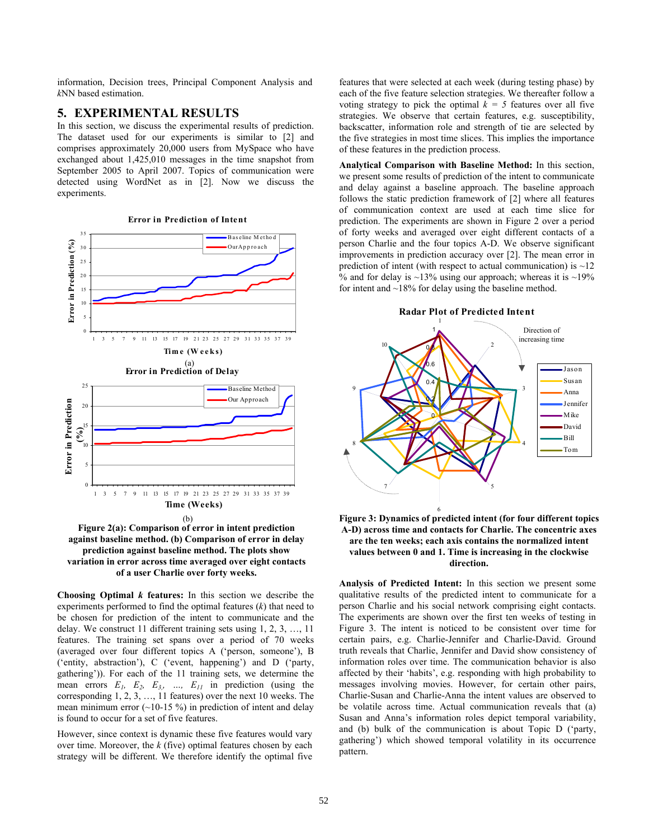information, Decision trees, Principal Component Analysis and *k*NN based estimation.

#### **5. EXPERIMENTAL RESULTS**

In this section, we discuss the experimental results of prediction. The dataset used for our experiments is similar to [2] and comprises approximately 20,000 users from MySpace who have exchanged about 1,425,010 messages in the time snapshot from September 2005 to April 2007. Topics of communication were detected using WordNet as in [2]. Now we discuss the experiments.



**Error in Prediction of Intent**

**Figure 2(a): Comparison of error in intent prediction against baseline method. (b) Comparison of error in delay prediction against baseline method. The plots show variation in error across time averaged over eight contacts of a user Charlie over forty weeks.** 

**Choosing Optimal** *k* **features:** In this section we describe the experiments performed to find the optimal features (*k*) that need to be chosen for prediction of the intent to communicate and the delay. We construct 11 different training sets using 1, 2, 3, …, 11 features. The training set spans over a period of 70 weeks (averaged over four different topics A ('person, someone'), B ('entity, abstraction'), C ('event, happening') and D ('party, gathering')). For each of the 11 training sets, we determine the mean errors  $E_1$ ,  $E_2$ ,  $E_3$ , ...,  $E_{11}$  in prediction (using the corresponding 1, 2, 3, …, 11 features) over the next 10 weeks. The mean minimum error  $(\sim 10-15\%)$  in prediction of intent and delay is found to occur for a set of five features.

However, since context is dynamic these five features would vary over time. Moreover, the *k* (five) optimal features chosen by each strategy will be different. We therefore identify the optimal five

features that were selected at each week (during testing phase) by each of the five feature selection strategies. We thereafter follow a voting strategy to pick the optimal  $k = 5$  features over all five strategies. We observe that certain features, e.g. susceptibility, backscatter, information role and strength of tie are selected by the five strategies in most time slices. This implies the importance of these features in the prediction process.

**Analytical Comparison with Baseline Method:** In this section, we present some results of prediction of the intent to communicate and delay against a baseline approach. The baseline approach follows the static prediction framework of [2] where all features of communication context are used at each time slice for prediction. The experiments are shown in Figure 2 over a period of forty weeks and averaged over eight different contacts of a person Charlie and the four topics A-D. We observe significant improvements in prediction accuracy over [2]. The mean error in prediction of intent (with respect to actual communication) is  $\sim$ 12 % and for delay is  $\sim$ 13% using our approach; whereas it is  $\sim$ 19% for intent and  $\sim$ 18% for delay using the baseline method.

**Radar Plot of Predicted Intent**



#### **Figure 3: Dynamics of predicted intent (for four different topics A-D) across time and contacts for Charlie. The concentric axes are the ten weeks; each axis contains the normalized intent values between 0 and 1. Time is increasing in the clockwise direction.**

**Analysis of Predicted Intent:** In this section we present some qualitative results of the predicted intent to communicate for a person Charlie and his social network comprising eight contacts. The experiments are shown over the first ten weeks of testing in Figure 3. The intent is noticed to be consistent over time for certain pairs, e.g. Charlie-Jennifer and Charlie-David. Ground truth reveals that Charlie, Jennifer and David show consistency of information roles over time. The communication behavior is also affected by their 'habits', e.g. responding with high probability to messages involving movies. However, for certain other pairs, Charlie-Susan and Charlie-Anna the intent values are observed to be volatile across time. Actual communication reveals that (a) Susan and Anna's information roles depict temporal variability, and (b) bulk of the communication is about Topic D ('party, gathering') which showed temporal volatility in its occurrence pattern.